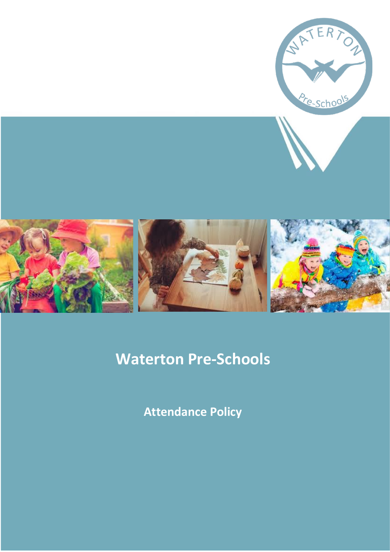

## **Waterton Pre-Schools**

**Attendance Policy**